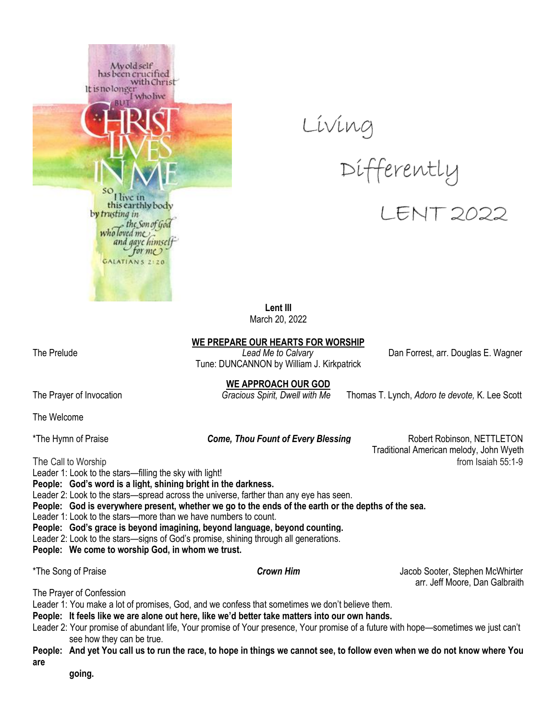



**Lent III** March 20, 2022

**WE PREPARE OUR HEARTS FOR WORSHIP**

The Prelude *Lead Me to Calvary* Dan Forrest, arr. Douglas E. Wagner Tune: DUNCANNON by William J. Kirkpatrick

**WE APPROACH OUR GOD**

The Prayer of Invocation *Gracious Spirit, Dwell with Me* Thomas T. Lynch, *Adoro te devote,* K. Lee Scott

The Welcome

\*The Hymn of Praise *Come, Thou Fount of Every Blessing* Robert Robinson, NETTLETON Traditional American melody, John Wyeth The Call to Worship from Isaiah 55:1-9

Leader 1: Look to the stars—filling the sky with light! **People: God's word is a light, shining bright in the darkness.** Leader 2: Look to the stars—spread across the universe, farther than any eye has seen. **People: God is everywhere present, whether we go to the ends of the earth or the depths of the sea.**

Leader 1: Look to the stars—more than we have numbers to count.

**People: God's grace is beyond imagining, beyond language, beyond counting.**

Leader 2: Look to the stars—signs of God's promise, shining through all generations.

**People: We come to worship God, in whom we trust.**

\*The Song of Praise *Crown Him* Jacob Sooter, Stephen McWhirter arr. Jeff Moore, Dan Galbraith

The Prayer of Confession

Leader 1: You make a lot of promises, God, and we confess that sometimes we don't believe them.

**People: It feels like we are alone out here, like we'd better take matters into our own hands.**

Leader 2: Your promise of abundant life, Your promise of Your presence, Your promise of a future with hope—sometimes we just can't see how they can be true.

**People: And yet You call us to run the race, to hope in things we cannot see, to follow even when we do not know where You are** 

 **going.**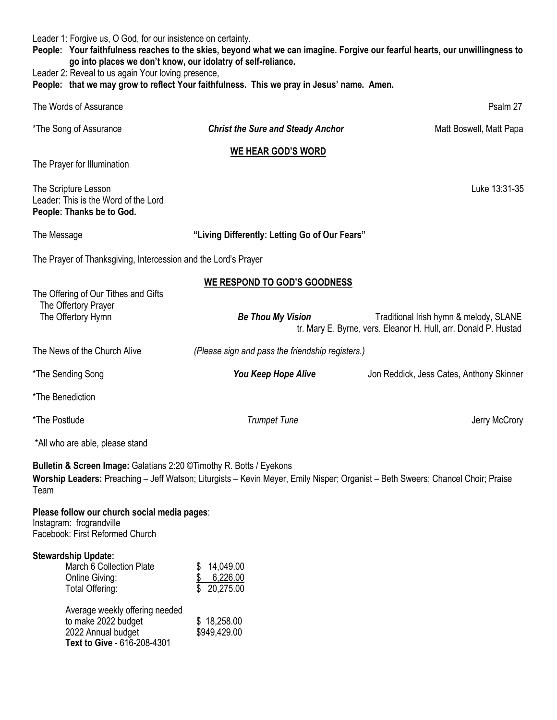Leader 1: Forgive us, O God, for our insistence on certainty.

**People: Your faithfulness reaches to the skies, beyond what we can imagine. Forgive our fearful hearts, our unwillingness to go into places we don't know, our idolatry of self-reliance.**

Leader 2: Reveal to us again Your loving presence,

**People: that we may grow to reflect Your faithfulness. This we pray in Jesus' name. Amen.**

| The Words of Assurance                                                                                      |                                                                                                                                 | Psalm 27                                                                                                  |
|-------------------------------------------------------------------------------------------------------------|---------------------------------------------------------------------------------------------------------------------------------|-----------------------------------------------------------------------------------------------------------|
| *The Song of Assurance                                                                                      | <b>Christ the Sure and Steady Anchor</b>                                                                                        | Matt Boswell, Matt Papa                                                                                   |
| <b>WE HEAR GOD'S WORD</b>                                                                                   |                                                                                                                                 |                                                                                                           |
| The Prayer for Illumination                                                                                 |                                                                                                                                 |                                                                                                           |
| The Scripture Lesson<br>Leader: This is the Word of the Lord<br>People: Thanks be to God.                   |                                                                                                                                 | Luke 13:31-35                                                                                             |
| The Message                                                                                                 | "Living Differently: Letting Go of Our Fears"                                                                                   |                                                                                                           |
| The Prayer of Thanksgiving, Intercession and the Lord's Prayer                                              |                                                                                                                                 |                                                                                                           |
| The Offering of Our Tithes and Gifts                                                                        | <b>WE RESPOND TO GOD'S GOODNESS</b>                                                                                             |                                                                                                           |
| The Offertory Prayer                                                                                        |                                                                                                                                 |                                                                                                           |
| The Offertory Hymn                                                                                          | <b>Be Thou My Vision</b>                                                                                                        | Traditional Irish hymn & melody, SLANE<br>tr. Mary E. Byrne, vers. Eleanor H. Hull, arr. Donald P. Hustad |
| The News of the Church Alive                                                                                | (Please sign and pass the friendship registers.)                                                                                |                                                                                                           |
| *The Sending Song                                                                                           | You Keep Hope Alive                                                                                                             | Jon Reddick, Jess Cates, Anthony Skinner                                                                  |
| *The Benediction                                                                                            |                                                                                                                                 |                                                                                                           |
| *The Postlude                                                                                               | <b>Trumpet Tune</b>                                                                                                             | Jerry McCrory                                                                                             |
| *All who are able, please stand                                                                             |                                                                                                                                 |                                                                                                           |
| Bulletin & Screen Image: Galatians 2:20 © Timothy R. Botts / Eyekons<br>Team                                | Worship Leaders: Preaching - Jeff Watson; Liturgists - Kevin Meyer, Emily Nisper; Organist - Beth Sweers; Chancel Choir; Praise |                                                                                                           |
| Please follow our church social media pages:<br>Instagram: frcgrandville<br>Facebook: First Reformed Church |                                                                                                                                 |                                                                                                           |
| <b>Stewardship Update:</b><br>March 6 Collection Plate<br>Online Giving:<br>Total Offering:                 | \$14,049.00<br>6,226.00<br>\$<br>\$<br>20,275.00                                                                                |                                                                                                           |
| Average weekly offering needed<br>to make 2022 budget<br>2022 Annual budget<br>Text to Give - 616-208-4301  | \$18,258.00<br>\$949,429.00                                                                                                     |                                                                                                           |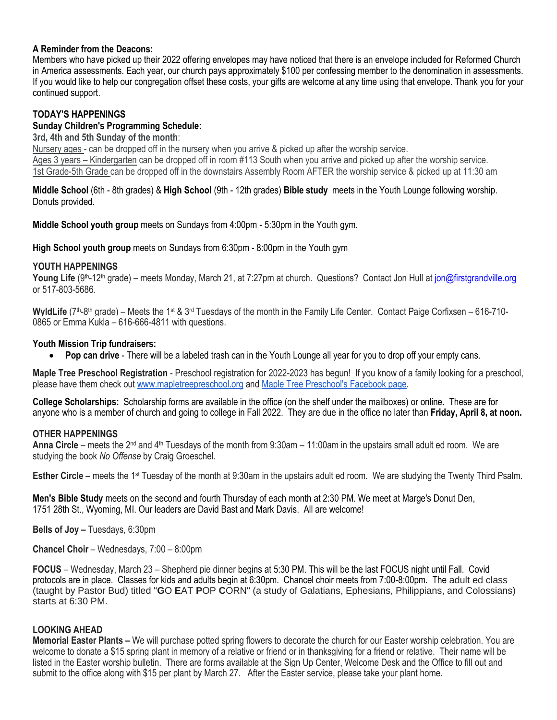### **A Reminder from the Deacons:**

Members who have picked up their 2022 offering envelopes may have noticed that there is an envelope included for Reformed Church in America assessments. Each year, our church pays approximately \$100 per confessing member to the denomination in assessments. If you would like to help our congregation offset these costs, your gifts are welcome at any time using that envelope. Thank you for your continued support.

## **TODAY'S HAPPENINGS**

### **Sunday Children's Programming Schedule:**

**3rd, 4th and 5th Sunday of the month**:

Nursery ages - can be dropped off in the nursery when you arrive & picked up after the worship service. Ages 3 years – Kindergarten can be dropped off in room #113 South when you arrive and picked up after the worship service. 1st Grade-5th Grade can be dropped off in the downstairs Assembly Room AFTER the worship service & picked up at 11:30 am

**Middle School** (6th - 8th grades) & **High School** (9th - 12th grades) **Bible study** meets in the Youth Lounge following worship. Donuts provided.

**Middle School youth group** meets on Sundays from 4:00pm - 5:30pm in the Youth gym.

**High School youth group** meets on Sundays from 6:30pm - 8:00pm in the Youth gym

#### **YOUTH HAPPENINGS**

Young Life (9<sup>th</sup>-12<sup>th</sup> grade) – meets Monday, March 21, at 7:27pm at church. Questions? Contact Jon Hull at [jon@firstgrandville.org](mailto:jon@firstgrandville.org) or 517-803-5686.

WyldLife (7<sup>th</sup>-8<sup>th</sup> grade) – Meets the 1<sup>st</sup> & 3<sup>rd</sup> Tuesdays of the month in the Family Life Center. Contact Paige Corfixsen – 616-710-0865 or Emma Kukla – 616-666-4811 with questions.

### **Youth Mission Trip fundraisers:**

**Pop can drive** - There will be a labeled trash can in the Youth Lounge all year for you to drop off your empty cans.

**Maple Tree Preschool Registration** - Preschool registration for 2022-2023 has begun! If you know of a family looking for a preschool, please have them check out [www.mapletreepreschool.org](http://www.mapletreepreschool.org/) and [Maple Tree Preschool's](https://www.facebook.com/Maple-Tree-Preschool-107534002642706) Facebook page.

**College Scholarships:** Scholarship forms are available in the office (on the shelf under the mailboxes) or online. These are for anyone who is a member of church and going to college in Fall 2022. They are due in the office no later than **Friday, April 8, at noon.**

## **OTHER HAPPENINGS**

**Anna Circle** – meets the 2<sup>nd</sup> and 4<sup>th</sup> Tuesdays of the month from 9:30am – 11:00am in the upstairs small adult ed room. We are studying the book *No Offense* by Craig Groeschel.

**Esther Circle** – meets the 1<sup>st</sup> Tuesday of the month at 9:30am in the upstairs adult ed room. We are studying the Twenty Third Psalm.

**Men's Bible Study** meets on the second and fourth Thursday of each month at 2:30 PM. We meet at Marge's Donut Den, 1751 28th St., Wyoming, MI. Our leaders are David Bast and Mark Davis. All are welcome!

**Bells of Joy –** Tuesdays, 6:30pm

**Chancel Choir** – Wednesdays, 7:00 – 8:00pm

**FOCUS** – Wednesday, March 23 – Shepherd pie dinner begins at 5:30 PM. This will be the last FOCUS night until Fall. Covid protocols are in place. Classes for kids and adults begin at 6:30pm. Chancel choir meets from 7:00-8:00pm. The adult ed class (taught by Pastor Bud) titled "**G**O **E**AT **P**OP **C**ORN" (a study of Galatians, Ephesians, Philippians, and Colossians) starts at 6:30 PM.

## **LOOKING AHEAD**

**Memorial Easter Plants –** We will purchase potted spring flowers to decorate the church for our Easter worship celebration. You are welcome to donate a \$15 spring plant in memory of a relative or friend or in thanksgiving for a friend or relative. Their name will be listed in the Easter worship bulletin. There are forms available at the Sign Up Center, Welcome Desk and the Office to fill out and submit to the office along with \$15 per plant by March 27. After the Easter service, please take your plant home.